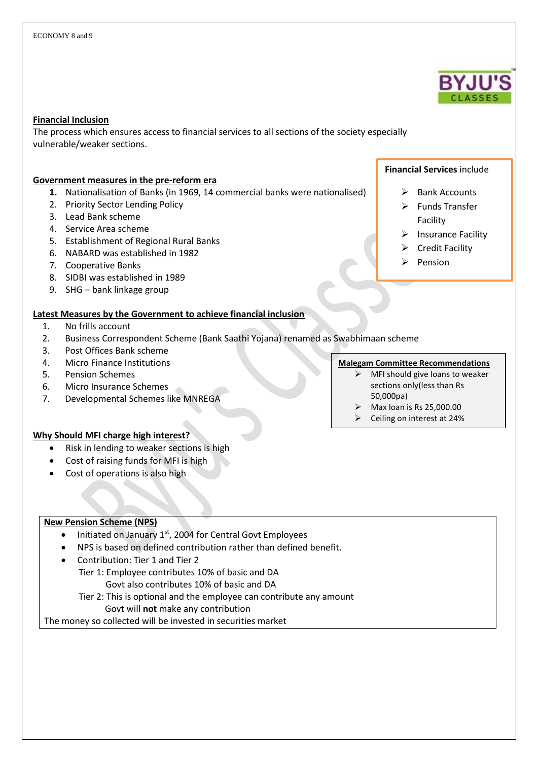#### **Financial Inclusion**

The process which ensures access to financial services to all sections of the society especially vulnerable/weaker sections.

#### **Government measures in the pre-reform era**

- **1.** Nationalisation of Banks (in 1969, 14 commercial banks were nationalised)
- 2. Priority Sector Lending Policy
- 3. Lead Bank scheme
- 4. Service Area scheme
- 5. Establishment of Regional Rural Banks
- 6. NABARD was established in 1982
- 7. Cooperative Banks
- 8. SIDBI was established in 1989
- 9. SHG bank linkage group

#### **Latest Measures by the Government to achieve financial inclusion**

- 1. No frills account
- 2. Business Correspondent Scheme (Bank Saathi Yojana) renamed as Swabhimaan scheme
- 3. Post Offices Bank scheme
- 4. Micro Finance Institutions
- 5. Pension Schemes
- 6. Micro Insurance Schemes
- 7. Developmental Schemes like MNREGA

# $\triangleright$  Bank Accounts

**Financial Services** include

- $\triangleright$  Funds Transfer Facility
- $\triangleright$  Insurance Facility
- $\triangleright$  Credit Facility
- $\triangleright$  Pension

## **Malegam Committee Recommendations**

- MFI should give loans to weaker sections only(less than Rs 50,000pa)
- $\triangleright$  Max loan is Rs 25,000.00
- $\triangleright$  Ceiling on interest at 24%

#### **Why Should MFI charge high interest?**

- Risk in lending to weaker sections is high
- Cost of raising funds for MFI is high
- Cost of operations is also high

#### **New Pension Scheme (NPS)**

- Initiated on January  $1<sup>st</sup>$ , 2004 for Central Govt Employees
- NPS is based on defined contribution rather than defined benefit.
- Contribution: Tier 1 and Tier 2
	- Tier 1: Employee contributes 10% of basic and DA Govt also contributes 10% of basic and DA
		- Tier 2: This is optional and the employee can contribute any amount
			- Govt will **not** make any contribution

The money so collected will be invested in securities market

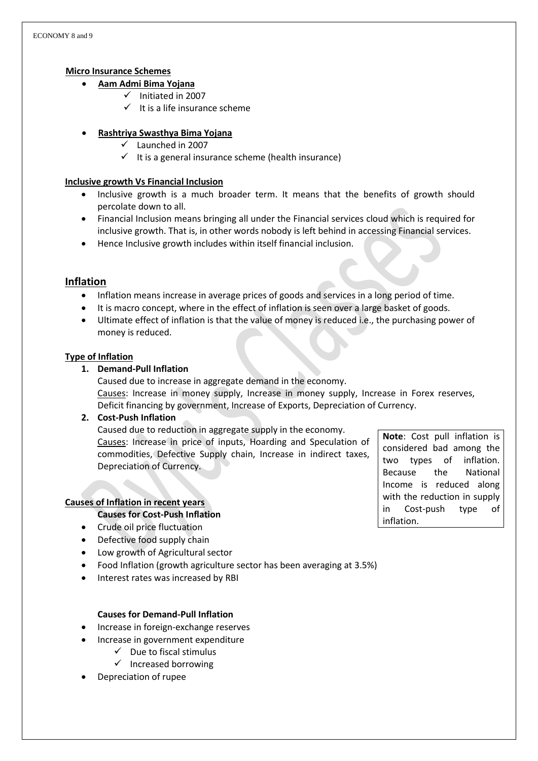## **Micro Insurance Schemes**

- **Aam Admi Bima Yojana**
	- $\checkmark$  Initiated in 2007
	- $\checkmark$  It is a life insurance scheme

# **Rashtriya Swasthya Bima Yojana**

- $\checkmark$  Launched in 2007
- $\checkmark$  It is a general insurance scheme (health insurance)

### **Inclusive growth Vs Financial Inclusion**

- Inclusive growth is a much broader term. It means that the benefits of growth should percolate down to all.
- Financial Inclusion means bringing all under the Financial services cloud which is required for inclusive growth. That is, in other words nobody is left behind in accessing Financial services.
- Hence Inclusive growth includes within itself financial inclusion.

# **Inflation**

- Inflation means increase in average prices of goods and services in a long period of time.
- It is macro concept, where in the effect of inflation is seen over a large basket of goods.
- Ultimate effect of inflation is that the value of money is reduced i.e., the purchasing power of money is reduced.

## **Type of Inflation**

# **1. Demand-Pull Inflation**

Caused due to increase in aggregate demand in the economy. Causes: Increase in money supply, Increase in money supply, Increase in Forex reserves, Deficit financing by government, Increase of Exports, Depreciation of Currency.

# **2. Cost-Push Inflation**

Caused due to reduction in aggregate supply in the economy. Causes: Increase in price of inputs, Hoarding and Speculation of commodities, Defective Supply chain, Increase in indirect taxes, Depreciation of Currency.

# **Causes of Inflation in recent years**

#### **Causes for Cost-Push Inflation**

- Crude oil price fluctuation
- Defective food supply chain
- Low growth of Agricultural sector
- Food Inflation (growth agriculture sector has been averaging at 3.5%)
- Interest rates was increased by RBI

#### **Causes for Demand-Pull Inflation**

- Increase in foreign-exchange reserves
- Increase in government expenditure
	- $\checkmark$  Due to fiscal stimulus
	- $\checkmark$  Increased borrowing
	- Depreciation of rupee

**Note**: Cost pull inflation is considered bad among the two types of inflation. Because the National Income is reduced along with the reduction in supply in Cost-push type of inflation.